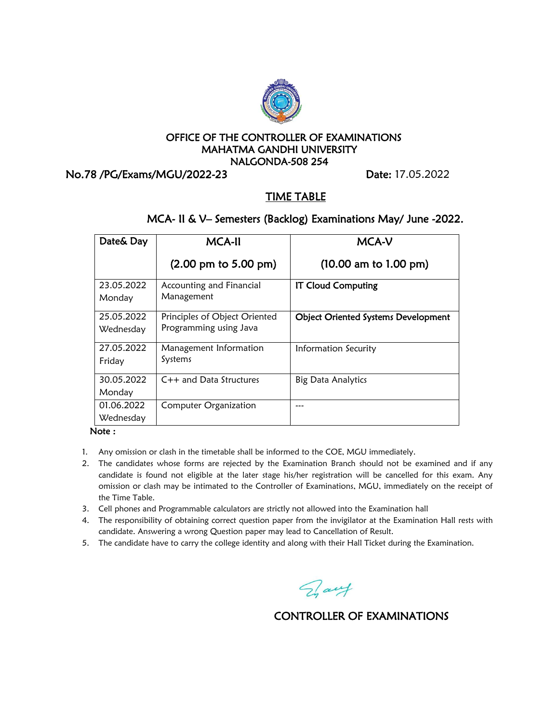

### OFFICE OF THE CONTROLLER OF EXAMINATIONS MAHATMA GANDHI UNIVERSITY NALGONDA-508 254

No.78 /PG/Exams/MGU/2022-23 Date: 17.05.2022

## TIME TABLE

# MCA- II & V– Semesters (Backlog) Examinations May/ June -2022.

| Date& Day  | <b>MCA-II</b>                           | <b>MCA-V</b>                               |
|------------|-----------------------------------------|--------------------------------------------|
|            | $(2.00 \text{ pm to } 5.00 \text{ pm})$ | (10.00 am to 1.00 pm)                      |
| 23.05.2022 | Accounting and Financial                | <b>IT Cloud Computing</b>                  |
| Monday     | Management                              |                                            |
| 25.05.2022 | Principles of Object Oriented           | <b>Object Oriented Systems Development</b> |
| Wednesday  | Programming using Java                  |                                            |
| 27.05.2022 | Management Information                  | Information Security                       |
| Friday     | Systems                                 |                                            |
| 30.05.2022 | $C++$ and Data Structures               | <b>Big Data Analytics</b>                  |
| Monday     |                                         |                                            |
| 01.06.2022 | <b>Computer Organization</b>            |                                            |
| Wednesday  |                                         |                                            |

#### Note :

- 1. Any omission or clash in the timetable shall be informed to the COE, MGU immediately.
- 2. The candidates whose forms are rejected by the Examination Branch should not be examined and if any candidate is found not eligible at the later stage his/her registration will be cancelled for this exam. Any omission or clash may be intimated to the Controller of Examinations, MGU, immediately on the receipt of the Time Table.
- 3. Cell phones and Programmable calculators are strictly not allowed into the Examination hall
- 4. The responsibility of obtaining correct question paper from the invigilator at the Examination Hall rests with candidate. Answering a wrong Question paper may lead to Cancellation of Result.
- 5. The candidate have to carry the college identity and along with their Hall Ticket during the Examination.

Day

# CONTROLLER OF EXAMINATIONS